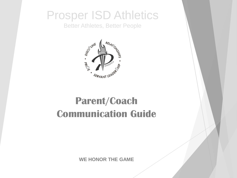## Prosper ISD Athletics

Better Athletes, Better People



# **Parent/Coach Communication Guide**

**WE HONOR THE GAME**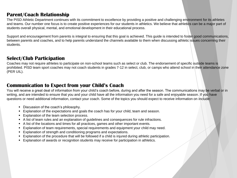#### **Parent/Coach Relationship**

The PISD Athletic Department continues with its commitment to excellence by providing a positive and challenging environment for its athletes and teams. Our number one focus is to create positive experiences for our students in athletics. We believe that athletics can be a major part of students overall physical, mental, and emotional development in their educational process.

Support and encouragement from parents is integral to ensuring that this goal is achieved. This guide is intended to foster good communications, between parents and coaches, and to help parents understand the channels available to them when discussing athletic issues concerning their students.

#### **Select/Club Participation**

Coaches may not require athletes to participate on non-school teams such as select or club. The endorsement of specific outside teams is prohibited. PISD team sport coaches may not coach students in grades 7-12 in select, club, or camps who attend school in their attendance zone (PER UIL).

#### **Communication to Expect from your Child's Coach**

You will receive a great deal of information from your child's coach before, during and after the season. The communications may be verbal or in writing, and are intended to ensure that you and your child have all the information you need for a safe and enjoyable season. If you have questions or need additional information, contact your coach. Some of the topics you should expect to receive information on include:

- Discussion of the coach's philosophy.
- **Explanation of the expectations and goals the coach has for your child, team and season.**
- Explanation of the team selection process.
- A list of team rules and an explanation of guidelines and consequences for rule infractions.
- A list of the locations and times for all practices, games and other important events.
- **Explanation of team requirements, special requirements and equipment your child may need.**
- Explanation of strength and conditioning programs and expectations.
- Explanation of the procedure that will be followed if a child is injured during athletic participation.
- **Explanation of awards or recognition students may receive for participation in athletics.**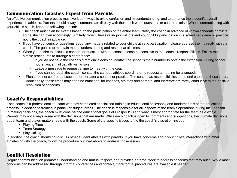#### **Communication Coaches Expect from Parents**

An effective communication process must work both ways to avoid confusion and misunderstanding, and to enhance the student's overall experience in athletics. Parents should always communicate directly with the coach when questions or concerns arise. When communicating with your child's coach, keep the following in mind:

- The coach must plan for events based on the participation of the entire team. Notify the coach in advance of known schedule conflicts so he/she can plan accordingly. Similarly, when illness or in- jury will prevent your child's participation in a scheduled game or practice, notify the coach in advance.
- If you have concerns or questions about any matters related to your child's athletic participation, please address them directly with the coach. The goal is to maintain mutual understanding and respect at all times.
- When you desire to discuss a concern or question with the coach, please be sensitive to the coach's responsibilities. Follow these simple procedures to arrange a conference:
	- If you do not have the coach's direct dial extension, contact the school's main number to obtain the extension. During school hours, voice mail usually will answer.
	- Leave a message to request a time to meet with the coach.
	- If you cannot reach the coach, contact the campus athletic coordinator to request a meeting be arranged.
- Please do not confront a coach before or after a contest or practice. The coach has responsibilities to the entire team at these times. Additionally, these times may often be emotional for coaches, athletes and parents, and therefore are rarely conducive to the positive resolution of concerns.

### **Coach's Responsibilities**

Each coach is a professional educator who has completed specialized training in educational philosophy and fundamentals of the educational process, in addition to training in particular subject areas. The coach is responsible for all aspects of the team's operations during the season. In making decisions, the coach must consider the educational goals of Prosper ISD and what is most appropriate for the team as a whole. Parents may not always agree with the decisions that are made. While each coach is open to comments and suggestions, the ultimate decisions about team and player matters rests with the coach. Some of the specific issues left to the coach's discretion include:

- Playing Time
- Team Strategy
- Play Calling

In addition, the coach should not discuss other student athletes with parents. If you have concerns about your child's interactions with other athletes or with the coach, follow the procedure outlined above to address those issues.

### **Conflict Resolution**

Regular communication promotes understanding and mutual respect, and provides a frame- work to address concerns that may arise. While most concerns can be addressed through informal conferences and contact, more formal procedures are available if needed.